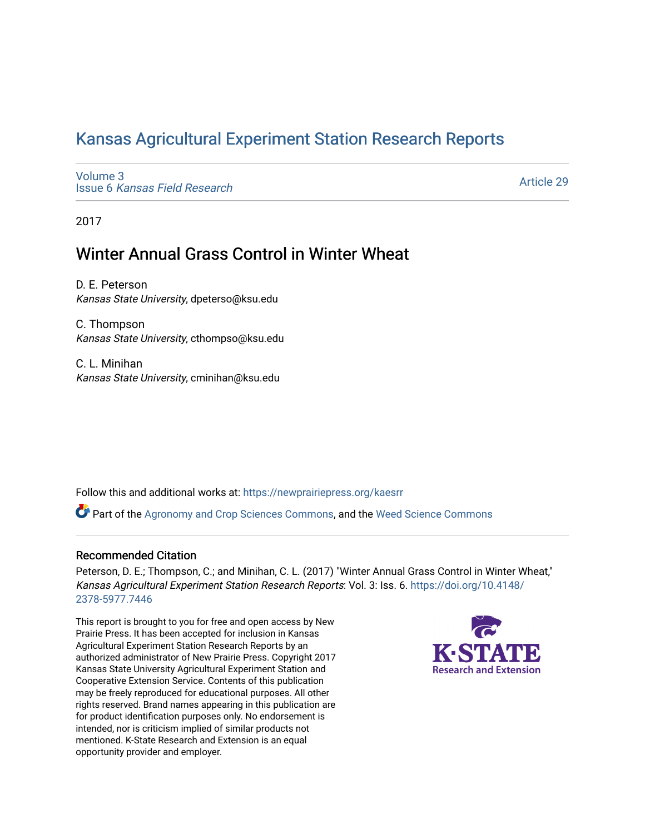# [Kansas Agricultural Experiment Station Research Reports](https://newprairiepress.org/kaesrr)

[Volume 3](https://newprairiepress.org/kaesrr/vol3) Issue 6 [Kansas Field Research](https://newprairiepress.org/kaesrr/vol3/iss6) 

[Article 29](https://newprairiepress.org/kaesrr/vol3/iss6/29) 

2017

# Winter Annual Grass Control in Winter Wheat

D. E. Peterson Kansas State University, dpeterso@ksu.edu

C. Thompson Kansas State University, cthompso@ksu.edu

C. L. Minihan Kansas State University, cminihan@ksu.edu

Follow this and additional works at: [https://newprairiepress.org/kaesrr](https://newprairiepress.org/kaesrr?utm_source=newprairiepress.org%2Fkaesrr%2Fvol3%2Fiss6%2F29&utm_medium=PDF&utm_campaign=PDFCoverPages) 

Part of the [Agronomy and Crop Sciences Commons,](http://network.bepress.com/hgg/discipline/103?utm_source=newprairiepress.org%2Fkaesrr%2Fvol3%2Fiss6%2F29&utm_medium=PDF&utm_campaign=PDFCoverPages) and the [Weed Science Commons](http://network.bepress.com/hgg/discipline/1267?utm_source=newprairiepress.org%2Fkaesrr%2Fvol3%2Fiss6%2F29&utm_medium=PDF&utm_campaign=PDFCoverPages) 

#### Recommended Citation

Peterson, D. E.; Thompson, C.; and Minihan, C. L. (2017) "Winter Annual Grass Control in Winter Wheat," Kansas Agricultural Experiment Station Research Reports: Vol. 3: Iss. 6. [https://doi.org/10.4148/](https://doi.org/10.4148/2378-5977.7446) [2378-5977.7446](https://doi.org/10.4148/2378-5977.7446) 

This report is brought to you for free and open access by New Prairie Press. It has been accepted for inclusion in Kansas Agricultural Experiment Station Research Reports by an authorized administrator of New Prairie Press. Copyright 2017 Kansas State University Agricultural Experiment Station and Cooperative Extension Service. Contents of this publication may be freely reproduced for educational purposes. All other rights reserved. Brand names appearing in this publication are for product identification purposes only. No endorsement is intended, nor is criticism implied of similar products not mentioned. K-State Research and Extension is an equal opportunity provider and employer.

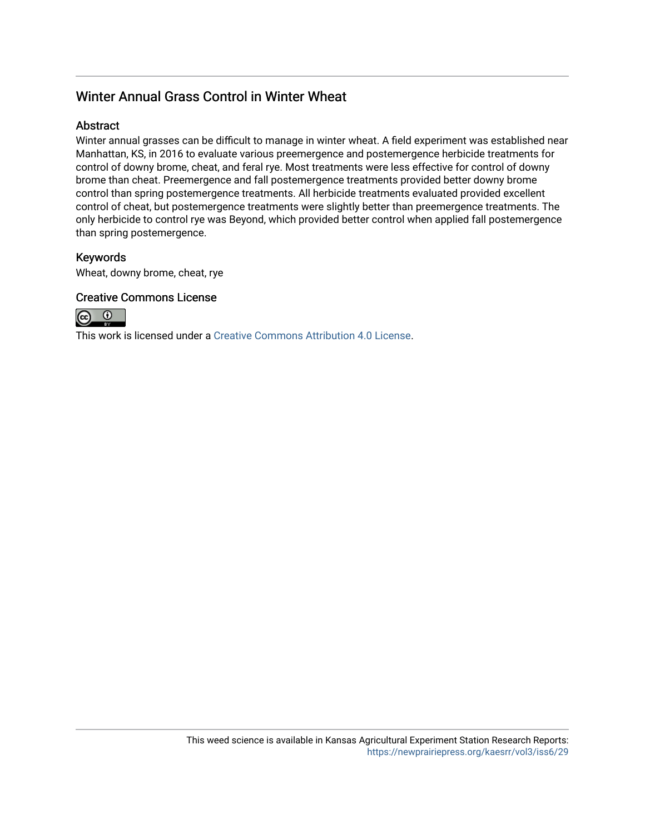# Winter Annual Grass Control in Winter Wheat

#### **Abstract**

Winter annual grasses can be difficult to manage in winter wheat. A field experiment was established near Manhattan, KS, in 2016 to evaluate various preemergence and postemergence herbicide treatments for control of downy brome, cheat, and feral rye. Most treatments were less effective for control of downy brome than cheat. Preemergence and fall postemergence treatments provided better downy brome control than spring postemergence treatments. All herbicide treatments evaluated provided excellent control of cheat, but postemergence treatments were slightly better than preemergence treatments. The only herbicide to control rye was Beyond, which provided better control when applied fall postemergence than spring postemergence.

#### Keywords

Wheat, downy brome, cheat, rye

#### Creative Commons License



This work is licensed under a [Creative Commons Attribution 4.0 License](https://creativecommons.org/licenses/by/4.0/).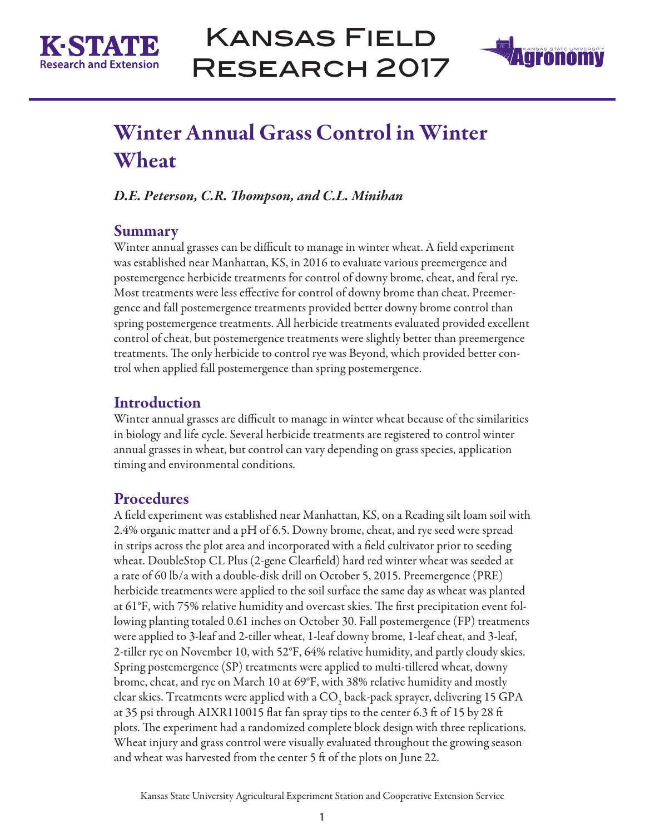



# Winter Annual Grass Control in Winter Wheat

*D.E. Peterson, C.R. Thompson, and C.L. Minihan*

### **Summary**

Winter annual grasses can be difficult to manage in winter wheat. A field experiment was established near Manhattan, KS, in 2016 to evaluate various preemergence and postemergence herbicide treatments for control of downy brome, cheat, and feral rye. Most treatments were less effective for control of downy brome than cheat. Preemergence and fall postemergence treatments provided better downy brome control than spring postemergence treatments. All herbicide treatments evaluated provided excellent control of cheat, but postemergence treatments were slightly better than preemergence treatments. The only herbicide to control rye was Beyond, which provided better control when applied fall postemergence than spring postemergence.

## Introduction

Winter annual grasses are difficult to manage in winter wheat because of the similarities in biology and life cycle. Several herbicide treatments are registered to control winter annual grasses in wheat, but control can vary depending on grass species, application timing and environmental conditions.

# **Procedures**

A field experiment was established near Manhattan, KS, on a Reading silt loam soil with 2.4% organic matter and a pH of 6.5. Downy brome, cheat, and rye seed were spread in strips across the plot area and incorporated with a field cultivator prior to seeding wheat. DoubleStop CL Plus (2-gene Clearfield) hard red winter wheat was seeded at a rate of 60 lb/a with a double-disk drill on October 5, 2015. Preemergence (PRE) herbicide treatments were applied to the soil surface the same day as wheat was planted at 61°F, with 75% relative humidity and overcast skies. The first precipitation event following planting totaled 0.61 inches on October 30. Fall postemergence (FP) treatments were applied to 3-leaf and 2-tiller wheat, 1-leaf downy brome, 1-leaf cheat, and 3-leaf, 2-tiller rye on November 10, with 52°F, 64% relative humidity, and partly cloudy skies. Spring postemergence (SP) treatments were applied to multi-tillered wheat, downy brome, cheat, and rye on March 10 at 69°F, with 38% relative humidity and mostly clear skies. Treatments were applied with a CO<sub>2</sub> back-pack sprayer, delivering 15 GPA at 35 psi through AIXR110015 flat fan spray tips to the center 6.3 ft of 15 by 28 ft plots. The experiment had a randomized complete block design with three replications. Wheat injury and grass control were visually evaluated throughout the growing season and wheat was harvested from the center 5 ft of the plots on June 22.